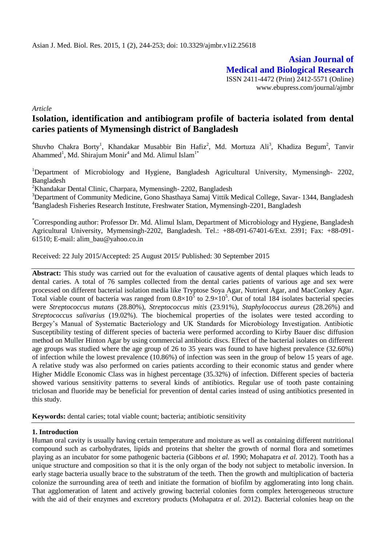**Asian Journal of Medical and Biological Research** ISSN 2411-4472 (Print) 2412-5571 (Online) www.ebupress.com/journal/ajmbr

*Article*

# **Isolation, identification and antibiogram profile of bacteria isolated from dental caries patients of Mymensingh district of Bangladesh**

Shuvho Chakra Borty<sup>1</sup>, Khandakar Musabbir Bin Hafiz<sup>2</sup>, Md. Mortuza Ali<sup>3</sup>, Khadiza Begum<sup>2</sup>, Tanvir Ahammed<sup>1</sup>, Md. Shirajum Monir<sup>4</sup> and Md. Alimul Islam<sup>1\*</sup>

<sup>1</sup>Department of Microbiology and Hygiene, Bangladesh Agricultural University, Mymensingh- 2202, Bangladesh

 ${}^{2}$ Khandakar Dental Clinic, Charpara, Mymensingh- 2202, Bangladesh

<sup>3</sup>Department of Community Medicine, Gono Shasthaya Samaj Vittik Medical College, Savar- 1344, Bangladesh <sup>4</sup>Bangladesh Fisheries Research Institute, Freshwater Station, Mymensingh-2201, Bangladesh

\*Corresponding author: Professor Dr. Md. Alimul Islam, Department of Microbiology and Hygiene, Bangladesh Agricultural University, Mymensingh-2202, Bangladesh. Tel.: +88-091-67401-6/Ext. 2391; Fax: +88-091- 61510; E-mail: [alim\\_bau@yahoo.co.in](mailto:alim_bau@yahoo.co.in)

Received: 22 July 2015/Accepted: 25 August 2015/ Published: 30 September 2015

**Abstract:** This study was carried out for the evaluation of causative agents of dental plaques which leads to dental caries. A total of 76 samples collected from the dental caries patients of various age and sex were processed on different bacterial isolation media like Tryptose Soya Agar, Nutrient Agar, and MacConkey Agar. Total viable count of bacteria was ranged from  $0.8 \times 10^5$  to  $2.9 \times 10^5$ . Out of total 184 isolates bacterial species were *Streptococcus mutans* (28.80%), *Streptococcus mitis* (23.91%), *Staphylococcus aureus* (28.26%) and *Streptococcus salivarius* (19.02%). The biochemical properties of the isolates were tested according to Bergey's Manual of Systematic Bacteriology and UK Standards for Microbiology Investigation. Antibiotic Susceptibility testing of different species of bacteria were performed according to Kirby Bauer disc diffusion method on Muller Hinton Agar by using commercial antibiotic discs. Effect of the bacterial isolates on different age groups was studied where the age group of 26 to 35 years was found to have highest prevalence (32.60%) of infection while the lowest prevalence (10.86%) of infection was seen in the group of below 15 years of age. A relative study was also performed on caries patients according to their economic status and gender where Higher Middle Economic Class was in highest percentage (35.32%) of infection. Different species of bacteria showed various sensitivity patterns to several kinds of antibiotics. Regular use of tooth paste containing triclosan and fluoride may be beneficial for prevention of dental caries instead of using antibiotics presented in this study.

**Keywords:** dental caries; total viable count; bacteria; antibiotic sensitivity

### **1. Introduction**

Human oral cavity is usually having certain temperature and moisture as well as containing different nutritional compound such as carbohydrates, lipids and proteins that shelter the growth of normal flora and sometimes playing as an incubator for some pathogenic bacteria (Gibbons *et al.* 1990; Mohapatra *et al.* 2012). Tooth has a unique structure and composition so that it is the only organ of the body not subject to metabolic inversion. In early stage bacteria usually brace to the substratum of the teeth. Then the growth and multiplication of bacteria colonize the surrounding area of teeth and initiate the formation of biofilm by agglomerating into long chain. That agglomeration of latent and actively growing bacterial colonies form complex heterogeneous structure with the aid of their enzymes and excretory products (Mohapatra *et al.* 2012). Bacterial colonies heap on the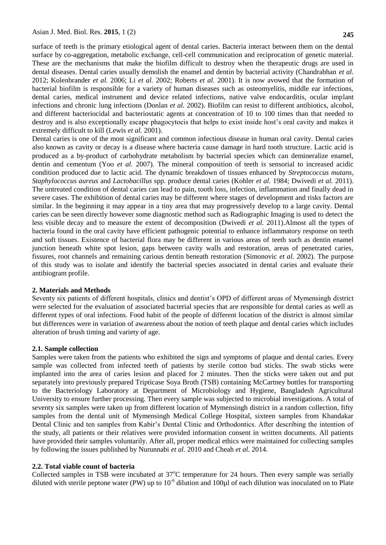surface of teeth is the primary etiological agent of dental caries. Bacteria interact between them on the dental surface by co-aggregation, metabolic exchange, cell-cell communication and reciprocation of genetic material. These are the mechanisms that make the biofilm difficult to destroy when the therapeutic drugs are used in dental diseases. Dental caries usually demolish the enamel and dentin by bacterial activity (Chandrabhan *et al.* 2012; Kolenbrander *et al.* 2006; Li *et al.* 2002; Roberts *et al.* 2001). It is now avowed that the formation of bacterial biofilm is responsible for a variety of human diseases such as osteomyelitis, middle ear infections, dental caries, medical instrument and device related infections, native valve endocarditis, ocular implant infections and chronic lung infections (Donlan *et al.* 2002). Biofilm can resist to different antibiotics, alcohol, and different bacteriocidal and bacteriostatic agents at concentration of 10 to 100 times than that needed to destroy and is also exceptionally escape phagocytocis that helps to exist inside host's oral cavity and makes it extremely difficult to kill (Lewis *et al.* 2001).

Dental caries is one of the most significant and common infectious disease in human oral cavity. Dental caries also known as cavity or decay is a disease where bacteria cause damage in hard tooth structure. Lactic acid is produced as a by-product of carbohydrate metabolism by bacterial species which can demineralize enamel, dentin and cementum (Yoo *et al.* 2007). The mineral composition of teeth is sensorial to increased acidic condition produced due to lactic acid. The dynamic breakdown of tissues enhanced by *Streptococcus mutans*, *Staphylococcus aureus* and *Lactobacillus* spp. produce dental caries (Kohler *et al.* 1984; Dwivedi *et al.* 2011). The untreated condition of dental caries can lead to pain, tooth loss, infection, inflammation and finally dead in severe cases. The exhibition of dental caries may be different where stages of development and risks factors are similar. In the beginning it may appear in a tiny area that may progressively develop to a large cavity. Dental caries can be seen directly however some diagnostic method such as Radiographic Imaging is used to detect the less visible decay and to measure the extent of decomposition (Dwivedi *et al.* 2011).Almost all the types of bacteria found in the oral cavity have efficient pathogenic potential to enhance inflammatory response on teeth and soft tissues. Existence of bacterial flora may be different in various areas of teeth such as dentin enamel junction beneath white spot lesion, gaps between cavity walls and restoration, areas of penetrated caries, fissures, root channels and remaining carious dentin beneath restoration (Simonovic *et al.* 2002). The purpose of this study was to isolate and identify the bacterial species associated in dental caries and evaluate their antibiogram profile.

### **2. Materials and Methods**

Seventy six patients of different hospitals, clinics and dentist's OPD of different areas of Mymensingh district were selected for the evaluation of associated bacterial species that are responsible for dental caries as well as different types of oral infections. Food habit of the people of different location of the district is almost similar but differences were in variation of awareness about the notion of teeth plaque and dental caries which includes alteration of brush timing and variety of age.

### **2.1. Sample collection**

Samples were taken from the patients who exhibited the sign and symptoms of plaque and dental caries. Every sample was collected from infected teeth of patients by sterile cotton bud sticks. The swab sticks were implanted into the area of caries lesion and placed for 2 minutes. Then the sticks were taken out and put separately into previously prepared Tripticase Soya Broth (TSB) containing McCartney bottles for transporting to the Bacteriology Laboratory at Department of Microbiology and Hygiene, Bangladesh Agricultural University to ensure further processing. Then every sample was subjected to microbial investigations. A total of seventy six samples were taken up from different location of Mymensingh district in a random collection, fifty samples from the dental unit of Mymensingh Medical College Hospital, sixteen samples from Khandakar Dental Clinic and ten samples from Kabir's Dental Clinic and Orthodontics. After describing the intention of the study, all patients or their relatives were provided information consent in written documents. All patients have provided their samples voluntarily. After all, proper medical ethics were maintained for collecting samples by following the issues published by Nurunnabi *et al.* 2010 and Cheah *et al.* 2014.

### **2.2. Total viable count of bacteria**

Collected samples in TSB were incubated at  $37^{\circ}$ C temperature for 24 hours. Then every sample was serially diluted with sterile peptone water (PW) up to  $10^{-6}$  dilution and 100 $\mu$ l of each dilution was inoculated on to Plate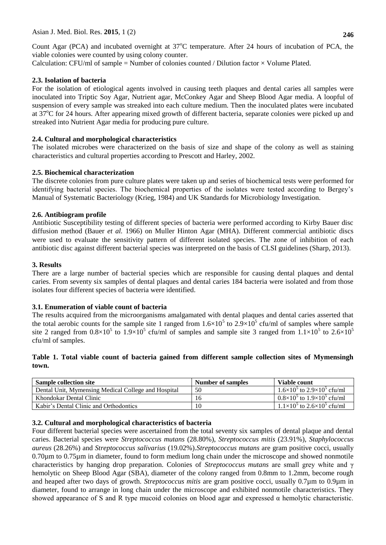Count Agar (PCA) and incubated overnight at  $37^{\circ}$ C temperature. After 24 hours of incubation of PCA, the viable colonies were counted by using colony counter.

Calculation: CFU/ml of sample = Number of colonies counted / Dilution factor  $\times$  Volume Plated.

## **2.3. Isolation of bacteria**

For the isolation of etiological agents involved in causing teeth plaques and dental caries all samples were inoculated into Triptic Soy Agar, Nutrient agar, McConkey Agar and Sheep Blood Agar media. A loopful of suspension of every sample was streaked into each culture medium. Then the inoculated plates were incubated at 37<sup>o</sup>C for 24 hours. After appearing mixed growth of different bacteria, separate colonies were picked up and streaked into Nutrient Agar media for producing pure culture.

## **2.4. Cultural and morphological characteristics**

The isolated microbes were characterized on the basis of size and shape of the colony as well as staining characteristics and cultural properties according to Prescott and Harley, 2002.

## **2.5. Biochemical characterization**

The discrete colonies from pure culture plates were taken up and series of biochemical tests were performed for identifying bacterial species. The biochemical properties of the isolates were tested according to Bergey's Manual of Systematic Bacteriology (Krieg, 1984) and UK Standards for Microbiology Investigation.

## **2.6. Antibiogram profile**

Antibiotic Susceptibility testing of different species of bacteria were performed according to Kirby Bauer disc diffusion method (Bauer *et al.* 1966) on Muller Hinton Agar (MHA). Different commercial antibiotic discs were used to evaluate the sensitivity pattern of different isolated species. The zone of inhibition of each antibiotic disc against different bacterial species was interpreted on the basis of CLSI guidelines (Sharp, 2013).

## **3. Results**

There are a large number of bacterial species which are responsible for causing dental plaques and dental caries. From seventy six samples of dental plaques and dental caries 184 bacteria were isolated and from those isolates four different species of bacteria were identified.

### **3.1. Enumeration of viable count of bacteria**

The results acquired from the microorganisms amalgamated with dental plaques and dental caries asserted that the total aerobic counts for the sample site 1 ranged from  $1.6 \times 10^5$  to  $2.9 \times 10^5$  cfu/ml of samples where sample site 2 ranged from  $0.8 \times 10^5$  to  $1.9 \times 10^5$  cfu/ml of samples and sample site 3 ranged from  $1.1 \times 10^5$  to  $2.6 \times 10^5$ cfu/ml of samples.

### **Table 1. Total viable count of bacteria gained from different sample collection sites of Mymensingh town.**

| <b>Sample collection site</b>                       | Number of samples | Viable count                                  |
|-----------------------------------------------------|-------------------|-----------------------------------------------|
| Dental Unit, Mymensing Medical College and Hospital | 50                | $1.6\times10^{5}$ to $2.9\times10^{5}$ cfu/ml |
| Khondokar Dental Clinic                             | 16                | $0.8\times10^5$ to $1.9\times10^5$ cfu/ml     |
| Kabir's Dental Clinic and Orthodontics              | 10                | $1.1\times10^5$ to 2.6×10 <sup>5</sup> cfu/ml |

### **3.2. Cultural and morphological characteristics of bacteria**

Four different bacterial species were ascertained from the total seventy six samples of dental plaque and dental caries. Bacterial species were *Streptococcus mutans* (28.80%), *Streptococcus mitis* (23.91%), *Staphylococcus aureus* (28.26%) and *Streptococcus salivarius* (19.02%).*Streptococcus mutans* are gram positive cocci, usually 0.70µm to 0.75µm in diameter, found to form medium long chain under the microscope and showed nonmotile characteristics by hanging drop preparation. Colonies of *Streptococcus mutans* are small grey white and γ hemolytic on Sheep Blood Agar (SBA), diameter of the colony ranged from 0.8mm to 1.2mm, become rough and heaped after two days of growth. *Streptococcus mitis* are gram positive cocci, usually 0.7µm to 0.9µm in diameter, found to arrange in long chain under the microscope and exhibited nonmotile characteristics. They showed appearance of S and R type mucoid colonies on blood agar and expressed  $\alpha$  hemolytic characteristic.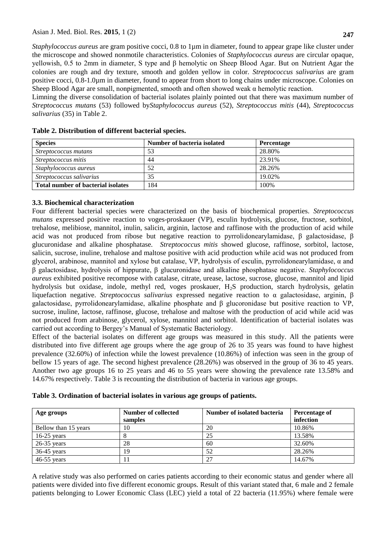*Staphylococcus aureus* are gram positive cocci, 0.8 to 1µm in diameter, found to appear grape like cluster under the microscope and showed nonmotile characteristics. Colonies of *Staphylococcus aureus* are circular opaque, yellowish, 0.5 to 2mm in diameter, S type and β hemolytic on Sheep Blood Agar. But on Nutrient Agar the colonies are rough and dry texture, smooth and golden yellow in color. *Streptococcus salivarius* are gram positive cocci, 0.8-1.0µm in diameter, found to appear from short to long chains under microscope. Colonies on Sheep Blood Agar are small, nonpigmented, smooth and often showed weak α hemolytic reaction.

Limning the diverse consolidation of bacterial isolates plainly pointed out that there was maximum number of *Streptococcus mutans* (53) followed by*Staphylococcus aureus* (52), *Streptococcus mitis* (44), *Streptococcus salivarius* (35) in Table 2.

| <b>Species</b>                            | Number of bacteria isolated | <b>Percentage</b> |
|-------------------------------------------|-----------------------------|-------------------|
| Streptococcus mutans                      | 53                          | 28.80%            |
| Streptococcus mitis                       | 44                          | 23.91%            |
| Staphylococcus aureus                     | 52                          | 28.26%            |
| Streptococcus salivarius                  | 35                          | 19.02%            |
| <b>Total number of bacterial isolates</b> | 184                         | 100\%             |

|  | Table 2. Distribution of different bacterial species. |
|--|-------------------------------------------------------|
|  |                                                       |

## **3.3. Biochemical characterization**

Four different bacterial species were characterized on the basis of biochemical properties. *Streptococcus mutans* expressed positive reaction to voges-proskauer (VP), esculin hydrolysis, glucose, fructose, sorbitol, trehalose, melibiose, mannitol, inulin, salicin, arginin, lactose and raffinose with the production of acid while acid was not produced from ribose but negative reaction to pyrrolidonearylamidase, β galactosidase, β glucuronidase and alkaline phosphatase. *Streptococcus mitis* showed glucose, raffinose, sorbitol, lactose, salicin, sucrose, inuline, trehalose and maltose positive with acid production while acid was not produced from glycerol, arabinose, mannitol and xylose but catalase, VP, hydrolysis of esculin, pyrrolidonearylamidase, α and β galactosidase, hydrolysis of hippurate, β glucuronidase and alkaline phosphatase negative. *Staphylococcus aureus* exhibited positive recompose with catalase, citrate, urease, lactose, sucrose, glucose, mannitol and lipid hydrolysis but oxidase, indole, methyl red, voges proskauer, H<sub>2</sub>S production, starch hydrolysis, gelatin liquefaction negative. *Streptococcus salivarius* expressed negative reaction to α galactosidase, arginin, β galactosidase, pyrrolidonearylamidase, alkaline phosphate and β glucoronidase but positive reaction to VP, sucrose, inuline, lactose, raffinose, glucose, trehalose and maltose with the production of acid while acid was not produced from arabinose, glycerol, xylose, mannitol and sorbitol. Identification of bacterial isolates was carried out according to Bergey's Manual of Systematic Bacteriology.

Effect of the bacterial isolates on different age groups was measured in this study. All the patients were distributed into five different age groups where the age group of 26 to 35 years was found to have highest prevalence (32.60%) of infection while the lowest prevalence (10.86%) of infection was seen in the group of bellow 15 years of age. The second highest prevalence (28.26%) was observed in the group of 36 to 45 years. Another two age groups 16 to 25 years and 46 to 55 years were showing the prevalence rate 13.58% and 14.67% respectively. Table 3 is recounting the distribution of bacteria in various age groups.

| Age groups           | Number of collected | Number of isolated bacteria | Percentage of |
|----------------------|---------------------|-----------------------------|---------------|
|                      | samples             |                             | infection     |
| Bellow than 15 years | 10                  | 20                          | 10.86%        |
| $16-25$ years        |                     | 25                          | 13.58%        |
| $26-35$ years        | 28                  | 60                          | 32.60%        |
| $36-45$ years        | 19                  | 52                          | 28.26%        |
| $46-55$ years        |                     | 27                          | 14.67%        |

A relative study was also performed on caries patients according to their economic status and gender where all patients were divided into five different economic groups. Result of this variant stated that, 6 male and 2 female patients belonging to Lower Economic Class (LEC) yield a total of 22 bacteria (11.95%) where female were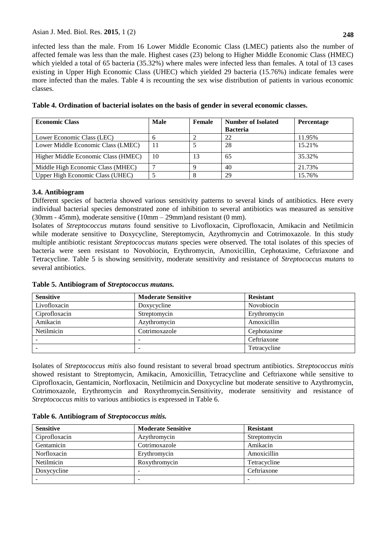### Asian J. Med. Biol. Res. **2015**, 1 (2) **248**

infected less than the male. From 16 Lower Middle Economic Class (LMEC) patients also the number of affected female was less than the male. Highest cases (23) belong to Higher Middle Economic Class (HMEC) which yielded a total of 65 bacteria (35.32%) where males were infected less than females. A total of 13 cases existing in Upper High Economic Class (UHEC) which yielded 29 bacteria (15.76%) indicate females were more infected than the males. Table 4 is recounting the sex wise distribution of patients in various economic classes.

| <b>Economic Class</b>               | Male | Female | <b>Number of Isolated</b><br><b>Bacteria</b> | Percentage |
|-------------------------------------|------|--------|----------------------------------------------|------------|
| Lower Economic Class (LEC)          | 6    |        | 22                                           | 11.95%     |
| Lower Middle Economic Class (LMEC)  | 11   |        | 28                                           | 15.21%     |
| Higher Middle Economic Class (HMEC) | 10   | 13     | 65                                           | 35.32%     |
| Middle High Economic Class (MHEC)   | ⇁    |        | 40                                           | 21.73%     |
| Upper High Economic Class (UHEC)    |      |        | 29                                           | 15.76%     |

| Table 4. Ordination of bacterial isolates on the basis of gender in several economic classes. |  |  |  |  |
|-----------------------------------------------------------------------------------------------|--|--|--|--|
|                                                                                               |  |  |  |  |

### **3.4. Antibiogram**

Different species of bacteria showed various sensitivity patterns to several kinds of antibiotics. Here every individual bacterial species demonstrated zone of inhibition to several antibiotics was measured as sensitive (30mm - 45mm), moderate sensitive (10mm – 29mm)and resistant (0 mm).

Isolates of *Streptococcus mutans* found sensitive to Livofloxacin, Ciprofloxacin, Amikacin and Netilmicin while moderate sensitive to Doxycycline, Stereptomycin, Azythromycin and Cotrimoxazole. In this study multiple antibiotic resistant *Streptococcus mutans* species were observed. The total isolates of this species of bacteria were seen resistant to Novobiocin, Erythromycin, Amoxicillin, Cephotaxime, Ceftriaxone and Tetracycline. Table 5 is showing sensitivity, moderate sensitivity and resistance of *Streptococcus mutans* to several antibiotics.

| <b>Sensitive</b> | <b>Moderate Sensitive</b> | <b>Resistant</b> |
|------------------|---------------------------|------------------|
| Livofloxacin     | Doxycycline               | Novobiocin       |
| Ciprofloxacin    | Streptomycin              | Erythromycin     |
| Amikacin         | Azythromycin              | Amoxicillin      |
| Netilmicin       | Cotrimoxazole             | Cephotaxime      |
|                  |                           | Ceftriaxone      |
|                  |                           | Tetracycline     |

**Table 5. Antibiogram of** *Streptococcus mutans.*

Isolates of *Streptococcus mitis* also found resistant to several broad spectrum antibiotics. *Streptococcus mitis* showed resistant to Streptomycin, Amikacin, Amoxicillin, Tetracycline and Ceftriaxone while sensitive to Ciprofloxacin, Gentamicin, Norfloxacin, Netilmicin and Doxycycline but moderate sensitive to Azythromycin, Cotrimoxazole, Erythromycin and Roxythromycin.Sensitivity, moderate sensitivity and resistance of *Streptococcus mitis* to various antibiotics is expressed in Table 6.

| <b>Sensitive</b> | <b>Moderate Sensitive</b> | <b>Resistant</b>         |
|------------------|---------------------------|--------------------------|
| Ciprofloxacin    | Azythromycin              | Streptomycin             |
| Gentamicin       | Cotrimoxazole             | Amikacin                 |
| Norfloxacin      | Erythromycin              | Amoxicillin              |
| Netilmicin       | Roxythromycin             | Tetracycline             |
| Doxycycline      |                           | Ceftriaxone              |
|                  |                           | $\overline{\phantom{0}}$ |

#### **Table 6. Antibiogram of** *Streptococcus mitis.*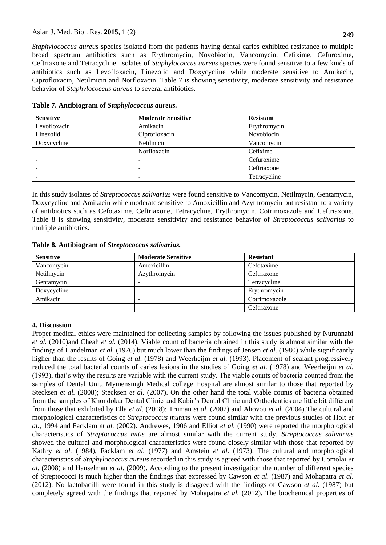### Asian J. Med. Biol. Res. **2015**, 1 (2) **249**

*Staphylococcus aureus* species isolated from the patients having dental caries exhibited resistance to multiple broad spectrum antibiotics such as Erythromycin, Novobiocin, Vancomycin, Cefixime, Cefuroxime, Ceftriaxone and Tetracycline. Isolates of *Staphylococcus aureus* species were found sensitive to a few kinds of antibiotics such as Levofloxacin, Linezolid and Doxycycline while moderate sensitive to Amikacin, Ciprofloxacin, Netilmicin and Norfloxacin. Table 7 is showing sensitivity, moderate sensitivity and resistance behavior of *Staphylococcus aureus* to several antibiotics.

| <b>Sensitive</b> | <b>Moderate Sensitive</b> | <b>Resistant</b> |
|------------------|---------------------------|------------------|
| Levofloxacin     | Amikacin                  | Erythromycin     |
| Linezolid        | Ciprofloxacin             | Novobiocin       |
| Doxycycline      | Netilmicin                | Vancomycin       |
|                  | Norfloxacin               | Cefixime         |
|                  | -                         | Cefuroxime       |
|                  | $\overline{\phantom{a}}$  | Ceftriaxone      |
|                  | -                         | Tetracycline     |

| Table 7. Antibiogram of Staphylococcus aureus. |  |  |
|------------------------------------------------|--|--|
|------------------------------------------------|--|--|

In this study isolates of *Streptococcus salivarius* were found sensitive to Vancomycin, Netilmycin, Gentamycin, Doxycycline and Amikacin while moderate sensitive to Amoxicillin and Azythromycin but resistant to a variety of antibiotics such as Cefotaxime, Ceftriaxone, Tetracycline, Erythromycin, Cotrimoxazole and Ceftriaxone. Table 8 is showing sensitivity, moderate sensitivity and resistance behavior of *Streptococcus salivarius* to multiple antibiotics.

#### **Table 8. Antibiogram of** *Streptococcus salivarius.*

| <b>Sensitive</b> | <b>Moderate Sensitive</b> | <b>Resistant</b> |
|------------------|---------------------------|------------------|
| Vancomycin       | Amoxicillin               | Cefotaxime       |
| Netilmycin       | Azythromycin              | Ceftriaxone      |
| Gentamycin       | -                         | Tetracycline     |
| Doxycycline      |                           | Erythromycin     |
| Amikacin         |                           | Cotrimoxazole    |
|                  |                           | Ceftriaxone      |

### **4. Discussion**

Proper medical ethics were maintained for collecting samples by following the issues published by Nurunnabi *et al.* (2010)and Cheah *et al.* (2014). Viable count of bacteria obtained in this study is almost similar with the findings of Handelman *et al.* (1976) but much lower than the findings of Jensen *et al.* (1980) while significantly higher than the results of Going *et al.* (1978) and Weerheijm *et al.* (1993). Placement of sealant progressively reduced the total bacterial counts of caries lesions in the studies of Going *et al.* (1978) and Weerheijm *et al.* (1993), that's why the results are variable with the current study. The viable counts of bacteria counted from the samples of Dental Unit, Mymensingh Medical college Hospital are almost similar to those that reported by Stecksen *et al.* (2008); Stecksen *et al.* (2007). On the other hand the total viable counts of bacteria obtained from the samples of Khondokar Dental Clinic and Kabir's Dental Clinic and Orthodentics are little bit different from those that exhibited by Ella *et al.* (2008); Truman *et al.* (2002) and Ahovou *et al.* (2004).The cultural and morphological characteristics of *Streptococcus mutans* were found similar with the previous studies of Holt *et al.,* 1994 and Facklam *et al.* (2002). Andrewes, 1906 and Elliot *et al.* (1990) were reported the morphological characteristics of *Streptococcus mitis* are almost similar with the current study. *Streptococcus salivarius* showed the cultural and morphological characteristics were found closely similar with those that reported by Kathry *et al.* (1984), Facklam *et al.* (1977) and Amstein *et al.* (1973). The cultural and morphological characteristics of *Staphylococcus aureus* recorded in this study is agreed with those that reported by Comolai *et al.* (2008) and Hanselman *et al.* (2009). According to the present investigation the number of different species of Streptococci is much higher than the findings that expressed by Cawson *et al.* (1987) and Mohapatra *et al.* (2012). No lactobacilli were found in this study is disagreed with the findings of Cawson *et al.* (1987) but completely agreed with the findings that reported by Mohapatra *et al.* (2012). The biochemical properties of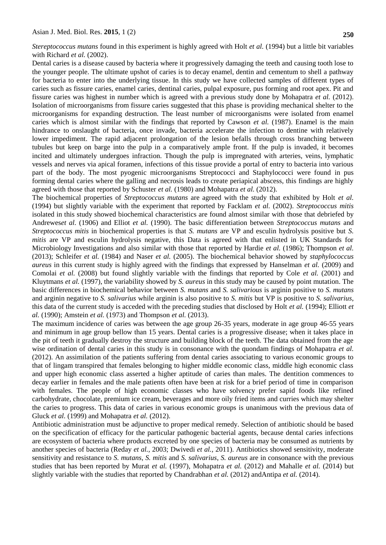*Stereptococcus mutans* found in this experiment is highly agreed with Holt *et al.* (1994) but a little bit variables with Richard *et al.* (2002).

Dental caries is a disease caused by bacteria where it progressively damaging the teeth and causing tooth lose to the younger people. The ultimate upshot of caries is to decay enamel, dentin and cementum to shell a pathway for bacteria to enter into the underlying tissue. In this study we have collected samples of different types of caries such as fissure caries, enamel caries, dentinal caries, pulpal exposure, pus forming and root apex. Pit and fissure caries was highest in number which is agreed with a previous study done by Mohapatra *et al.* (2012). Isolation of microorganisms from fissure caries suggested that this phase is providing mechanical shelter to the microorganisms for expanding destruction. The least number of microorganisms were isolated from enamel caries which is almost similar with the findings that reported by Cawson *et al.* (1987). Enamel is the main hindrance to onslaught of bacteria, once invade, bacteria accelerate the infection to dentine with relatively lower impediment. The rapid adjacent prolongation of the lesion befalls through cross branching between tubules but keep on barge into the pulp in a comparatively ample front. If the pulp is invaded, it becomes incited and ultimately undergoes infraction. Though the pulp is impregnated with arteries, veins, lymphatic vessels and nerves via apical foramen, infections of this tissue provide a portal of entry to bacteria into various part of the body. The most pyogenic microorganisms Streptococci and Staphylococci were found in pus forming dental caries where the galling and necrosis leads to create periapical abscess, this findings are highly agreed with those that reported by Schuster *et al.* (1980) and Mohapatra *et al.* (2012).

The biochemical properties of *Streptococcus mutans* are agreed with the study that exhibited by Holt *et al.* (1994) but slightly variable with the experiment that reported by Facklam *et al.* (2002). *Streptococcus mitis* isolated in this study showed biochemical characteristics are found almost similar with those that debriefed by Andrewes*et al.* (1906) and Elliot *et al.* (1990). The basic differentiation between *Streptococcus mutans* and *Streptococcus mitis* in biochemical properties is that *S. mutans* are VP and esculin hydrolysis positive but *S. mitis* are VP and esculin hydrolysis negative, this Data is agreed with that enlisted in UK Standards for Microbiology Investigations and also similar with those that reported by Hardie *et al.* (1986); Thompson *et al.* (2013); Schleifer *et al.* (1984) and Naser *et al.* (2005). The biochemical behavior showed by *staphylococcus aureus* in this current study is highly agreed with the findings that expressed by Hanselman *et al.* (2009) and Comolai *et al.* (2008) but found slightly variable with the findings that reported by Cole *et al.* (2001) and Kluytmans *et al.* (1997), the variability showed by *S. aureus* in this study may be caused by point mutation. The basic differences in biochemical behavior between *S. mutans* and *S. salivarious* is arginin positive to *S. mutans* and arginin negative to *S. salivarius* while arginin is also positive to *S. mitis* but VP is positive to *S. salivarius*, this data of the current study is acceded with the preceding studies that disclosed by Holt *et al.* (1994); Elliott *et al.* (1990); Amstein *et al.* (1973) and Thompson *et al.* (2013).

The maximum incidence of caries was between the age group 26-35 years, moderate in age group 46-55 years and minimum in age group bellow than 15 years. Dental caries is a progressive disease; when it takes place in the pit of teeth it gradually destroy the structure and building block of the teeth. The data obtained from the age wise ordination of dental caries in this study is in consonance with the quondam findings of Mohapatra *et al.* (2012). An assimilation of the patients suffering from dental caries associating to various economic groups to that of lingam transpired that females belonging to higher middle economic class, middle high economic class and upper high economic class asserted a higher aptitude of caries than males. The dentition commences to decay earlier in females and the male patients often have been at risk for a brief period of time in comparison with females. The people of high economic classes who have solvency prefer sapid foods like refined carbohydrate, chocolate, premium ice cream, beverages and more oily fried items and curries which may shelter the caries to progress. This data of caries in various economic groups is unanimous with the previous data of Gluck *et al.* (1999) and Mohapatra *et al.* (2012).

Antibiotic administration must be adjunctive to proper medical remedy. Selection of antibiotic should be based on the specification of efficacy for the particular pathogenic bacterial agents, because dental caries infections are ecosystem of bacteria where products excreted by one species of bacteria may be consumed as nutrients by another species of bacteria (Reday *et al.,* 2003; Dwivedi *et al.,* 2011). Antibiotics showed sensitivity, moderate sensitivity and resistance to *S. mutans*, *S. mitis* and *S. salivarius*, *S. aureus* are in consonance with the previous studies that has been reported by Murat *et al.* (1997), Mohapatra *et al.* (2012) and Mahalle *et al.* (2014) but slightly variable with the studies that reported by Chandrabhan *et al.* (2012) andAntipa *et al.* (2014).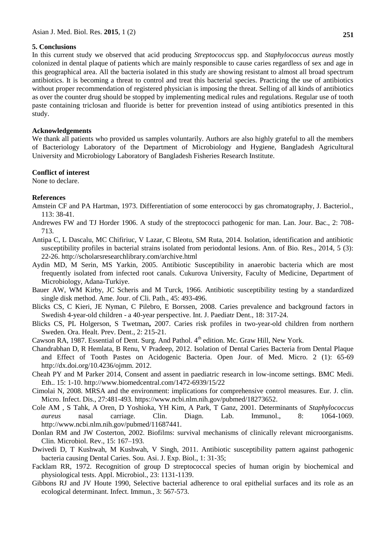#### **5. Conclusions**

In this current study we observed that acid producing *Streptococcus* spp. and *Staphylococcus aureus* mostly colonized in dental plaque of patients which are mainly responsible to cause caries regardless of sex and age in this geographical area. All the bacteria isolated in this study are showing resistant to almost all broad spectrum antibiotics. It is becoming a threat to control and treat this bacterial species. Practicing the use of antibiotics without proper recommendation of registered physician is imposing the threat. Selling of all kinds of antibiotics as over the counter drug should be stopped by implementing medical rules and regulations. Regular use of tooth paste containing triclosan and fluoride is better for prevention instead of using antibiotics presented in this study.

#### **Acknowledgements**

We thank all patients who provided us samples voluntarily. Authors are also highly grateful to all the members of Bacteriology Laboratory of the Department of Microbiology and Hygiene, Bangladesh Agricultural University and Microbiology Laboratory of Bangladesh Fisheries Research Institute.

#### **Conflict of interest**

None to declare.

#### **References**

- Amstein CF and PA Hartman, 1973. Differentiation of some enterococci by gas chromatography, J. Bacteriol., 113: 38-41.
- Andrewes FW and TJ Horder 1906. A study of the streptococci pathogenic for man. Lan. Jour. Bac., 2: 708- 713.
- Antipa C, L Dascalu, MC Chifiriuc, V Lazar, C Bleotu, SM Ruta, 2014. Isolation, identification and antibiotic susceptibility profiles in bacterial strains isolated from periodontal lesions. Ann. of Bio. Res., 2014, 5 (3): 22-26.<http://scholarsresearchlibrary.com/archive.html>
- Aydin MD, M Serin, MS Yarkin, 2005. Antibiotic Susceptibility in anaerobic bacteria which are most frequently isolated from infected root canals. Cukurova University, Faculty of Medicine, Department of Microbiology, Adana-Turkiye.
- Bauer AW, WM Kirby, JC Scheris and M Turck, 1966. Antibiotic susceptibility testing by a standardized single disk method. Ame. Jour. of Cli. Path., 45: 493-496.
- Blicks CS, C Kieri, JE Nyman, C Pilebro, E Borssen, 2008. Caries prevalence and background factors in Swedish 4-year-old children - a 40-year perspective. Int. J. Paediatr Dent., 18: 317-24.
- Blicks CS, PL Holgerson, S Twetman**,** 2007. Caries risk profiles in two-year-old children from northern Sweden. Ora. Healt. Prev. Dent., 2: 215-21.
- Cawson RA, 1987. Essential of Dent. Surg. And Pathol. 4<sup>th</sup> edition. Mc. Graw Hill, New York.
- Chandrabhan D, R Hemlata, B Renu, V Pradeep, 2012. Isolation of Dental Caries Bacteria from Dental Plaque and Effect of Tooth Pastes on Acidogenic Bacteria. Open Jour. of Med. Micro. 2 (1): 65-69 [http://dx.doi.org/10.4236/ojmm. 2012.](http://dx.doi.org/10.4236/ojmm.%202012)
- Cheah PY and M Parker 2014, Consent and assent in paediatric research in low-income settings. BMC Medi. Eth.. 15: 1-10.<http://www.biomedcentral.com/1472-6939/15/22>
- Cimolai N, 2008. MRSA and the environment: implications for comprehensive control measures. Eur. J. clin. Micro. Infect. Dis., 27:481-493. [https://www.ncbi.nlm.nih.gov/pubmed/18273652.](https://www.ncbi.nlm.nih.gov/pubmed/18273652)
- Cole AM , S Tahk, A Oren, D Yoshioka, YH Kim, A Park, T Ganz, 2001. Determinants of *Staphylococcus aureus* nasal carriage. Clin. Diagn. Lab. Immunol., 8: 1064-1069. [http://www.ncbi.nlm.nih.gov/pubmed/11687441.](http://www.ncbi.nlm.nih.gov/pubmed/11687441)
- Donlan RM and JW Costerton, 2002. Biofilms: survival mechanisms of clinically relevant microorganisms. Clin. Microbiol. Rev., 15: 167–193.
- Dwivedi D, T Kushwah, M Kushwah, V Singh, 2011. Antibiotic susceptibility pattern against pathogenic bacteria causing Dental Caries. Sou. Asi. J. Exp. Biol., 1: 31‐35;
- Facklam RR, 1972. Recognition of group D streptococcal species of human origin by biochemical and physiological tests. Appl. Microbiol., 23: 1131-1139.
- Gibbons RJ and JV Houte 1990, Selective bacterial adherence to oral epithelial surfaces and its role as an ecological determinant. Infect. Immun., 3: 567-573.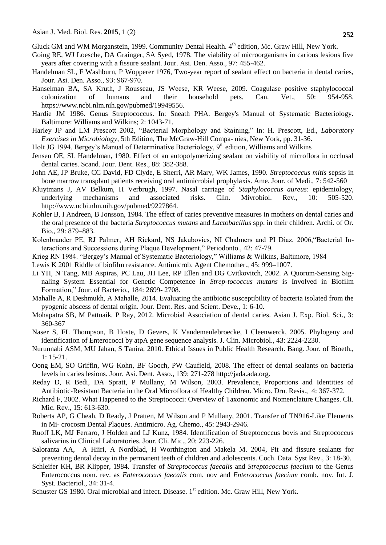Gluck GM and WM Morganstein, 1999. Community Dental Health. 4<sup>th</sup> edition, Mc. Graw Hill, New York.

- Going RE, WJ Loesche, DA Grainger, SA Syed, 1978. The viability of microorganisms in carious lesions five years after covering with a fissure sealant. Jour. Asi. Den. Asso., 97: 455-462.
- Handelman SL, F Washburn, P Wopperer 1976, Two-year report of sealant effect on bacteria in dental caries, Jour. Asi. Den. Asso., 93: 967-970.
- Hanselman BA, SA Kruth, J Rousseau, JS Weese, KR Weese, 2009. Coagulase positive staphylococcal colonization of humans and their household pets. Can. Vet., 50: 954-958. [https://www.ncbi.nlm.nih.gov/pubmed/19949556.](https://www.ncbi.nlm.nih.gov/pubmed/19949556)
- Hardie JM 1986. Genus Streptococcus. In: Sneath PHA. Bergey's Manual of Systematic Bacteriology. Baltimore: Williams and Wilkins; 2: 1043-71.
- Harley JP and LM Prescott 2002, "Bacterial Morphology and Staining," In: H. Prescott, Ed., *Laboratory Exercises in Microbiology*, 5th Edition, The McGraw-Hill Compa- nies, New York, pp. 31-36.
- Holt JG 1994. Bergey's Manual of Determinative Bacteriology, 9<sup>th</sup> edition, Williams and Wilkins
- Jensen OE, SL Handelman, 1980. Effect of an autopolymerizing sealant on viability of microflora in occlusal dental caries. Scand. Jour. Dent. Res., 88: 382-388.
- John AE, JP Bruke, CC David, FD Clyde, E Sherri, AR Mary, WK James, 1990. *Streptococcus mitis* sepsis in bone marrow transplant patients receiving oral antimicrobial prophylaxis. Ame. Jour. of Medi., 7: 542-560
- Kluytmans J, AV Belkum, H Verbrugh, 1997. Nasal carriage of *Staphylococcus aureus*: epidemiology, underlying mechanisms and associated risks. Clin. Mivrobiol. Rev., 10: 505-520. [http://www.ncbi.nlm.nih.gov/pubmed/9227864.](http://www.ncbi.nlm.nih.gov/pubmed/9227864)
- Kohler B, I Andreen, B Jonsson, 1984. The effect of caries preventive measures in mothers on dental caries and the oral presence of the bacteria *Streptococcus mutans* and *Lactobacillus* spp. in their children. Archi. of Or. Bio., 29: 879–883.
- Kolenbrander PE, RJ Palmer, AH Rickard, NS Jakubovics, NI Chalmers and PI Diaz, 2006,"Bacterial Interactions and Successions during Plaque Development," Periodonto., 42: 47-79.
- Krieg RN 1984. "Bergey's Manual of Systematic Bacteriology," Williams & Wilkins, Baltimore, 1984
- Lewis K 2001 Riddle of biofilm resistance. Antimicrob. Agent Chemother., 45: 999–1007.
- Li YH, N Tang, MB Aspiras, PC Lau, JH Lee, RP Ellen and DG Cvitkovitch, 2002. A Quorum-Sensing Signaling System Essential for Genetic Competence in *Strep-tococcus mutans* is Involved in Biofilm Formation," Jour. of Bacterio., 184: 2699- 2708.
- Mahalle A, R Deshmukh, A Mahalle, 2014. Evaluating the antibiotic susceptibility of bacteria isolated from the pyogenic abscess of dental origin. Jour. Dent. Res. and Scient. Deve., 1: 6-10.
- Mohapatra SB, M Pattnaik, P Ray, 2012. Microbial Association of dental caries. Asian J. Exp. Biol. Sci., 3: 360-367
- Naser S, FL Thompson, B Hoste, D Gevers, K Vandemeulebroecke, I Cleenwerck, 2005. Phylogeny and identification of Enterococci by atpA gene sequence analysis. J. Clin. Microbiol., 43: 2224-2230.
- Nurunnabi ASM, MU Jahan, S Tanira, 2010. Ethical Issues in Public Health Research. Bang. Jour. of Bioeth., 1: 15-21.
- Oong EM, SO Griffin, WG Kohn, BF Gooch, PW Caufield, 2008. The effect of dental sealants on bacteria levels in caries lesions. Jour. Asi. Dent. Asso., 139: 271-27[8 http://jada.ada.org.](http://jada.ada.org/)
- Reday D, R Bedi, DA Spratt, P Mullany, M Wilson, 2003. Prevalence, Proportions and Identities of Antibiotic‐Resistant Bacteria in the Oral Microflora of Healthy Children. Micro. Dru. Resis., 4: 367‐372.
- Richard F, 2002. What Happened to the Streptococci: Overview of Taxonomic and Nomenclature Changes. Cli. Mic. Rev., 15: 613-630.
- Roberts AP, G Cheah, D Ready, J Pratten, M Wilson and P Mullany, 2001. Transfer of TN916-Like Elements in Mi- crocosm Dental Plaques. Antimicro. Ag. Chemo., 45: 2943-2946.
- Ruoff LK, MJ Ferraro, J Holden and LJ Kunz, 1984. Identification of Streptococcus bovis and Streptococcus salivarius in Clinical Laboratories. Jour. Cli. Mic., 20: 223-226.
- Saloranta AA, A Hiiri, A Nordblad, H Worthington and Makela M. 2004, Pit and fissure sealants for preventing dental decay in the permanent teeth of children and adolescents. Coch. Data. Syst Rev., 3: 18-30.
- Schleifer KH, BR Klipper, 1984. Transfer of *Streptococcus faecalis* and *Streptococcus faecium* to the Genus Enterococcus nom. rev. as *Enterococcus faecalis* com. nov and *Enterococcus faecium* comb. nov. Int. J. Syst. Bacteriol., 34: 31-4.
- Schuster GS 1980. Oral microbial and infect. Disease. 1<sup>st</sup> edition. Mc. Graw Hill, New York.